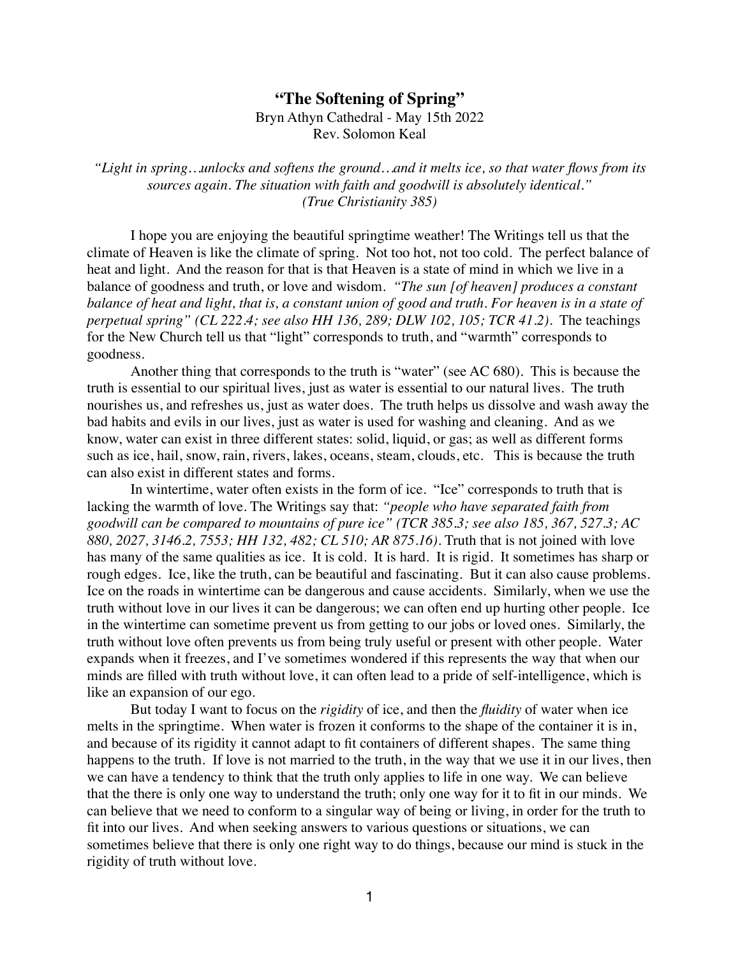## **"The Softening of Spring"**

Bryn Athyn Cathedral - May 15th 2022 Rev. Solomon Keal

*"Light in spring…unlocks and softens the ground…and it melts ice, so that water flows from its sources again. The situation with faith and goodwill is absolutely identical." (True Christianity 385)*

I hope you are enjoying the beautiful springtime weather! The Writings tell us that the climate of Heaven is like the climate of spring. Not too hot, not too cold. The perfect balance of heat and light. And the reason for that is that Heaven is a state of mind in which we live in a balance of goodness and truth, or love and wisdom. *"The sun [of heaven] produces a constant balance of heat and light, that is, a constant union of good and truth. For heaven is in a state of perpetual spring" (CL 222.4; see also HH 136, 289; DLW 102, 105; TCR 41.2).* The teachings for the New Church tell us that "light" corresponds to truth, and "warmth" corresponds to goodness.

Another thing that corresponds to the truth is "water" (see AC 680). This is because the truth is essential to our spiritual lives, just as water is essential to our natural lives. The truth nourishes us, and refreshes us, just as water does. The truth helps us dissolve and wash away the bad habits and evils in our lives, just as water is used for washing and cleaning. And as we know, water can exist in three different states: solid, liquid, or gas; as well as different forms such as ice, hail, snow, rain, rivers, lakes, oceans, steam, clouds, etc. This is because the truth can also exist in different states and forms.

In wintertime, water often exists in the form of ice. "Ice" corresponds to truth that is lacking the warmth of love. The Writings say that: *"people who have separated faith from goodwill can be compared to mountains of pure ice" (TCR 385.3; see also 185, 367, 527.3; AC 880, 2027, 3146.2, 7553; HH 132, 482; CL 510; AR 875.16).* Truth that is not joined with love has many of the same qualities as ice. It is cold. It is hard. It is rigid. It sometimes has sharp or rough edges. Ice, like the truth, can be beautiful and fascinating. But it can also cause problems. Ice on the roads in wintertime can be dangerous and cause accidents. Similarly, when we use the truth without love in our lives it can be dangerous; we can often end up hurting other people. Ice in the wintertime can sometime prevent us from getting to our jobs or loved ones. Similarly, the truth without love often prevents us from being truly useful or present with other people. Water expands when it freezes, and I've sometimes wondered if this represents the way that when our minds are filled with truth without love, it can often lead to a pride of self-intelligence, which is like an expansion of our ego.

But today I want to focus on the *rigidity* of ice, and then the *fluidity* of water when ice melts in the springtime. When water is frozen it conforms to the shape of the container it is in, and because of its rigidity it cannot adapt to fit containers of different shapes. The same thing happens to the truth. If love is not married to the truth, in the way that we use it in our lives, then we can have a tendency to think that the truth only applies to life in one way. We can believe that the there is only one way to understand the truth; only one way for it to fit in our minds. We can believe that we need to conform to a singular way of being or living, in order for the truth to fit into our lives. And when seeking answers to various questions or situations, we can sometimes believe that there is only one right way to do things, because our mind is stuck in the rigidity of truth without love.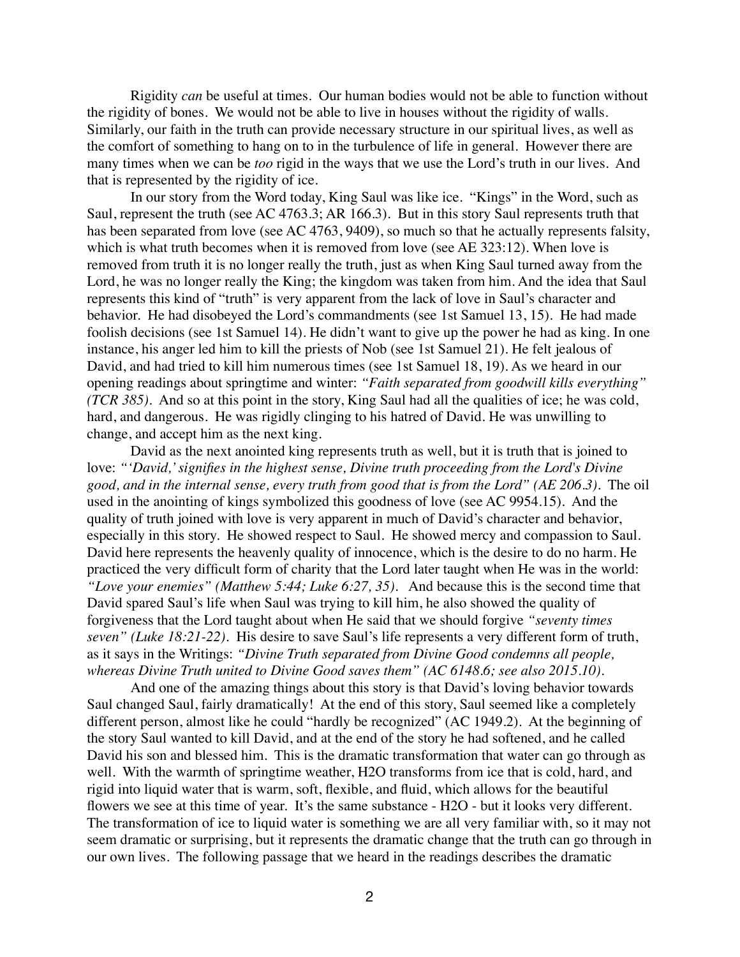Rigidity *can* be useful at times. Our human bodies would not be able to function without the rigidity of bones. We would not be able to live in houses without the rigidity of walls. Similarly, our faith in the truth can provide necessary structure in our spiritual lives, as well as the comfort of something to hang on to in the turbulence of life in general. However there are many times when we can be *too* rigid in the ways that we use the Lord's truth in our lives. And that is represented by the rigidity of ice.

In our story from the Word today, King Saul was like ice. "Kings" in the Word, such as Saul, represent the truth (see AC 4763.3; AR 166.3). But in this story Saul represents truth that has been separated from love (see AC 4763, 9409), so much so that he actually represents falsity, which is what truth becomes when it is removed from love (see AE 323:12). When love is removed from truth it is no longer really the truth, just as when King Saul turned away from the Lord, he was no longer really the King; the kingdom was taken from him. And the idea that Saul represents this kind of "truth" is very apparent from the lack of love in Saul's character and behavior. He had disobeyed the Lord's commandments (see 1st Samuel 13, 15). He had made foolish decisions (see 1st Samuel 14). He didn't want to give up the power he had as king. In one instance, his anger led him to kill the priests of Nob (see 1st Samuel 21). He felt jealous of David, and had tried to kill him numerous times (see 1st Samuel 18, 19). As we heard in our opening readings about springtime and winter: *"Faith separated from goodwill kills everything" (TCR 385).* And so at this point in the story, King Saul had all the qualities of ice; he was cold, hard, and dangerous. He was rigidly clinging to his hatred of David. He was unwilling to change, and accept him as the next king.

David as the next anointed king represents truth as well, but it is truth that is joined to love: *"'David,' signifies in the highest sense, Divine truth proceeding from the Lord's Divine good, and in the internal sense, every truth from good that is from the Lord" (AE 206.3).* The oil used in the anointing of kings symbolized this goodness of love (see AC 9954.15). And the quality of truth joined with love is very apparent in much of David's character and behavior, especially in this story. He showed respect to Saul. He showed mercy and compassion to Saul. David here represents the heavenly quality of innocence, which is the desire to do no harm. He practiced the very difficult form of charity that the Lord later taught when He was in the world: *"Love your enemies" (Matthew 5:44; Luke 6:27, 35).* And because this is the second time that David spared Saul's life when Saul was trying to kill him, he also showed the quality of forgiveness that the Lord taught about when He said that we should forgive *"seventy times seven" (Luke 18:21-22).* His desire to save Saul's life represents a very different form of truth, as it says in the Writings: *"Divine Truth separated from Divine Good condemns all people, whereas Divine Truth united to Divine Good saves them" (AC 6148.6; see also 2015.10).* 

And one of the amazing things about this story is that David's loving behavior towards Saul changed Saul, fairly dramatically! At the end of this story, Saul seemed like a completely different person, almost like he could "hardly be recognized" (AC 1949.2). At the beginning of the story Saul wanted to kill David, and at the end of the story he had softened, and he called David his son and blessed him. This is the dramatic transformation that water can go through as well. With the warmth of springtime weather, H2O transforms from ice that is cold, hard, and rigid into liquid water that is warm, soft, flexible, and fluid, which allows for the beautiful flowers we see at this time of year. It's the same substance - H2O - but it looks very different. The transformation of ice to liquid water is something we are all very familiar with, so it may not seem dramatic or surprising, but it represents the dramatic change that the truth can go through in our own lives. The following passage that we heard in the readings describes the dramatic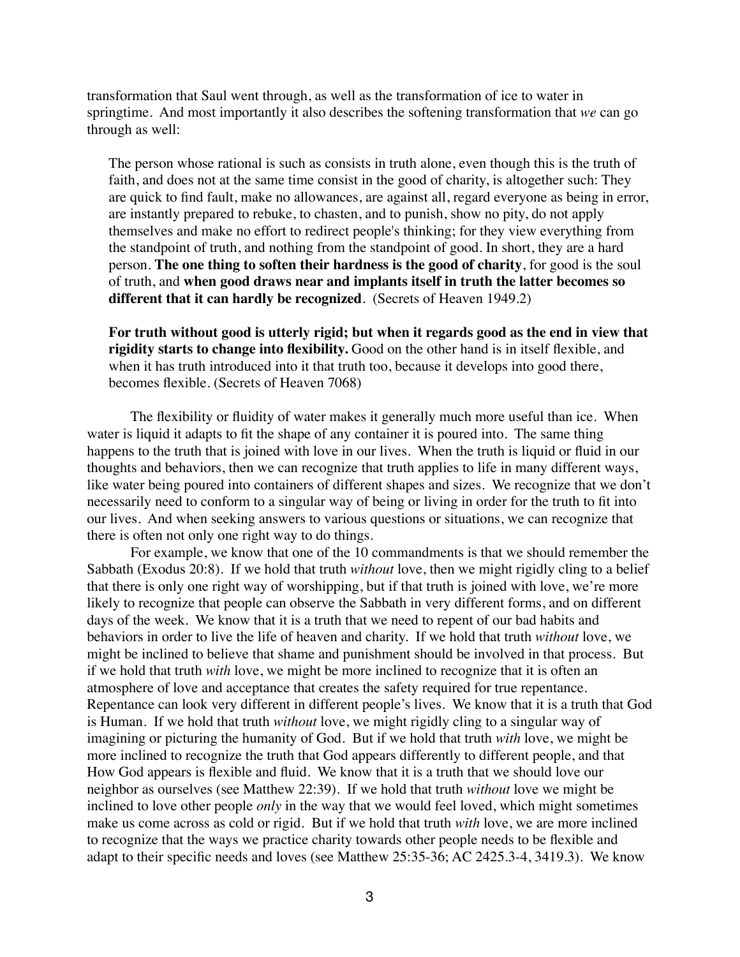transformation that Saul went through, as well as the transformation of ice to water in springtime. And most importantly it also describes the softening transformation that *we* can go through as well:

The person whose rational is such as consists in truth alone, even though this is the truth of faith, and does not at the same time consist in the good of charity, is altogether such: They are quick to find fault, make no allowances, are against all, regard everyone as being in error, are instantly prepared to rebuke, to chasten, and to punish, show no pity, do not apply themselves and make no effort to redirect people's thinking; for they view everything from the standpoint of truth, and nothing from the standpoint of good. In short, they are a hard person. **The one thing to soften their hardness is the good of charity**, for good is the soul of truth, and **when good draws near and implants itself in truth the latter becomes so different that it can hardly be recognized**. (Secrets of Heaven 1949.2)

**For truth without good is utterly rigid; but when it regards good as the end in view that rigidity starts to change into flexibility.** Good on the other hand is in itself flexible, and when it has truth introduced into it that truth too, because it develops into good there, becomes flexible. (Secrets of Heaven 7068)

The flexibility or fluidity of water makes it generally much more useful than ice. When water is liquid it adapts to fit the shape of any container it is poured into. The same thing happens to the truth that is joined with love in our lives. When the truth is liquid or fluid in our thoughts and behaviors, then we can recognize that truth applies to life in many different ways, like water being poured into containers of different shapes and sizes. We recognize that we don't necessarily need to conform to a singular way of being or living in order for the truth to fit into our lives. And when seeking answers to various questions or situations, we can recognize that there is often not only one right way to do things.

For example, we know that one of the 10 commandments is that we should remember the Sabbath (Exodus 20:8). If we hold that truth *without* love, then we might rigidly cling to a belief that there is only one right way of worshipping, but if that truth is joined with love, we're more likely to recognize that people can observe the Sabbath in very different forms, and on different days of the week. We know that it is a truth that we need to repent of our bad habits and behaviors in order to live the life of heaven and charity. If we hold that truth *without* love, we might be inclined to believe that shame and punishment should be involved in that process. But if we hold that truth *with* love, we might be more inclined to recognize that it is often an atmosphere of love and acceptance that creates the safety required for true repentance. Repentance can look very different in different people's lives. We know that it is a truth that God is Human. If we hold that truth *without* love, we might rigidly cling to a singular way of imagining or picturing the humanity of God. But if we hold that truth *with* love, we might be more inclined to recognize the truth that God appears differently to different people, and that How God appears is flexible and fluid. We know that it is a truth that we should love our neighbor as ourselves (see Matthew 22:39). If we hold that truth *without* love we might be inclined to love other people *only* in the way that we would feel loved, which might sometimes make us come across as cold or rigid. But if we hold that truth *with* love, we are more inclined to recognize that the ways we practice charity towards other people needs to be flexible and adapt to their specific needs and loves (see Matthew 25:35-36; AC 2425.3-4, 3419.3). We know